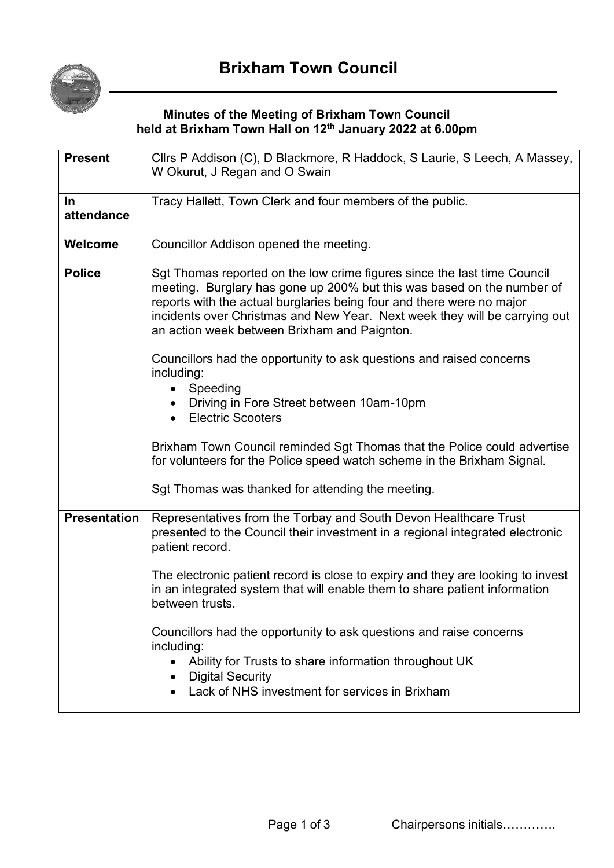

## **Minutes of the Meeting of Brixham Town Council held at Brixham Town Hall on 12th January 2022 at 6.00pm**

| <b>Present</b>      | Cllrs P Addison (C), D Blackmore, R Haddock, S Laurie, S Leech, A Massey,<br>W Okurut, J Regan and O Swain                                                                                                                                                                                                                                                                                                                                                                                                                                                                                                                                                                                              |
|---------------------|---------------------------------------------------------------------------------------------------------------------------------------------------------------------------------------------------------------------------------------------------------------------------------------------------------------------------------------------------------------------------------------------------------------------------------------------------------------------------------------------------------------------------------------------------------------------------------------------------------------------------------------------------------------------------------------------------------|
|                     |                                                                                                                                                                                                                                                                                                                                                                                                                                                                                                                                                                                                                                                                                                         |
| $\ln$               | Tracy Hallett, Town Clerk and four members of the public.                                                                                                                                                                                                                                                                                                                                                                                                                                                                                                                                                                                                                                               |
| attendance          |                                                                                                                                                                                                                                                                                                                                                                                                                                                                                                                                                                                                                                                                                                         |
| Welcome             | Councillor Addison opened the meeting.                                                                                                                                                                                                                                                                                                                                                                                                                                                                                                                                                                                                                                                                  |
| <b>Police</b>       | Sgt Thomas reported on the low crime figures since the last time Council<br>meeting. Burglary has gone up 200% but this was based on the number of<br>reports with the actual burglaries being four and there were no major<br>incidents over Christmas and New Year. Next week they will be carrying out<br>an action week between Brixham and Paignton.<br>Councillors had the opportunity to ask questions and raised concerns<br>including:<br>Speeding<br>Driving in Fore Street between 10am-10pm<br><b>Electric Scooters</b><br>$\bullet$<br>Brixham Town Council reminded Sgt Thomas that the Police could advertise<br>for volunteers for the Police speed watch scheme in the Brixham Signal. |
|                     | Sgt Thomas was thanked for attending the meeting.                                                                                                                                                                                                                                                                                                                                                                                                                                                                                                                                                                                                                                                       |
| <b>Presentation</b> | Representatives from the Torbay and South Devon Healthcare Trust<br>presented to the Council their investment in a regional integrated electronic<br>patient record.                                                                                                                                                                                                                                                                                                                                                                                                                                                                                                                                    |
|                     | The electronic patient record is close to expiry and they are looking to invest<br>in an integrated system that will enable them to share patient information<br>between trusts.                                                                                                                                                                                                                                                                                                                                                                                                                                                                                                                        |
|                     | Councillors had the opportunity to ask questions and raise concerns<br>including:<br>Ability for Trusts to share information throughout UK<br>$\bullet$<br><b>Digital Security</b><br>Lack of NHS investment for services in Brixham                                                                                                                                                                                                                                                                                                                                                                                                                                                                    |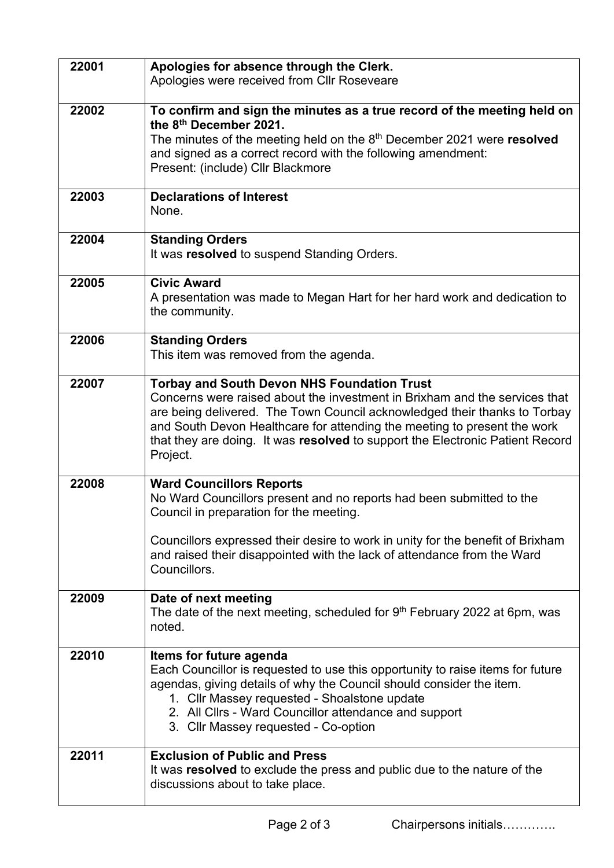| 22001 | Apologies for absence through the Clerk.<br>Apologies were received from Cllr Roseveare                                                                                                                                                                                                                                                                                                |
|-------|----------------------------------------------------------------------------------------------------------------------------------------------------------------------------------------------------------------------------------------------------------------------------------------------------------------------------------------------------------------------------------------|
| 22002 | To confirm and sign the minutes as a true record of the meeting held on<br>the 8 <sup>th</sup> December 2021.<br>The minutes of the meeting held on the 8th December 2021 were resolved<br>and signed as a correct record with the following amendment:<br>Present: (include) Cllr Blackmore                                                                                           |
| 22003 | <b>Declarations of Interest</b><br>None.                                                                                                                                                                                                                                                                                                                                               |
| 22004 | <b>Standing Orders</b><br>It was resolved to suspend Standing Orders.                                                                                                                                                                                                                                                                                                                  |
| 22005 | <b>Civic Award</b><br>A presentation was made to Megan Hart for her hard work and dedication to<br>the community.                                                                                                                                                                                                                                                                      |
| 22006 | <b>Standing Orders</b><br>This item was removed from the agenda.                                                                                                                                                                                                                                                                                                                       |
| 22007 | <b>Torbay and South Devon NHS Foundation Trust</b><br>Concerns were raised about the investment in Brixham and the services that<br>are being delivered. The Town Council acknowledged their thanks to Torbay<br>and South Devon Healthcare for attending the meeting to present the work<br>that they are doing. It was resolved to support the Electronic Patient Record<br>Project. |
| 22008 | <b>Ward Councillors Reports</b><br>No Ward Councillors present and no reports had been submitted to the<br>Council in preparation for the meeting.<br>Councillors expressed their desire to work in unity for the benefit of Brixham<br>and raised their disappointed with the lack of attendance from the Ward<br>Councillors.                                                        |
| 22009 | Date of next meeting<br>The date of the next meeting, scheduled for $9th$ February 2022 at 6pm, was<br>noted.                                                                                                                                                                                                                                                                          |
| 22010 | Items for future agenda<br>Each Councillor is requested to use this opportunity to raise items for future<br>agendas, giving details of why the Council should consider the item.<br>1. Cllr Massey requested - Shoalstone update<br>2. All Cllrs - Ward Councillor attendance and support<br>3. Cllr Massey requested - Co-option                                                     |
| 22011 | <b>Exclusion of Public and Press</b><br>It was resolved to exclude the press and public due to the nature of the<br>discussions about to take place.                                                                                                                                                                                                                                   |